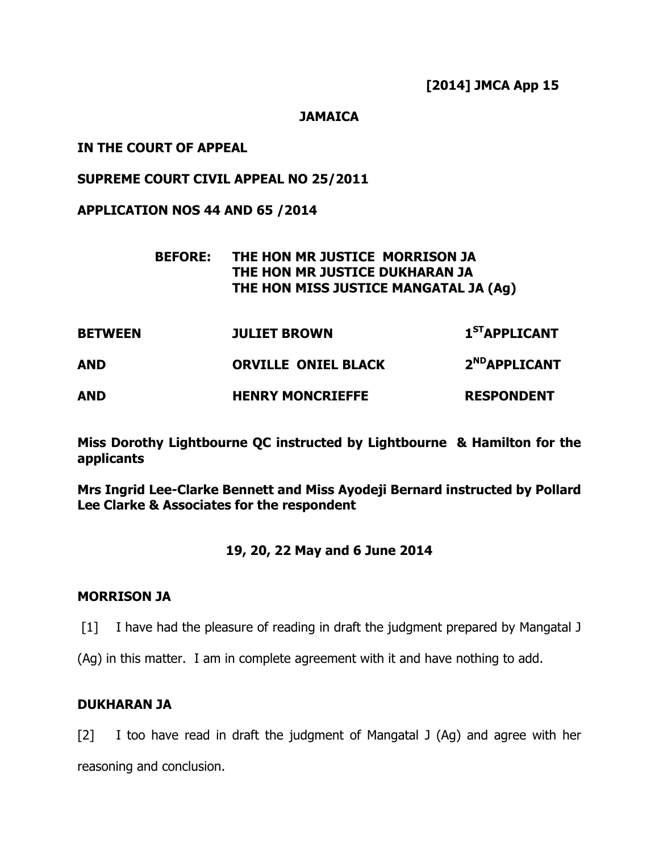[2014] JMCA App 15

### **JAMAICA**

### IN THE COURT OF APPEAL

### SUPREME COURT CIVIL APPEAL NO 25/2011

APPLICATION NOS 44 AND 65 /2014

## BEFORE: THE HON MR JUSTICE MORRISON JA THE HON MR JUSTICE DUKHARAN JA THE HON MISS JUSTICE MANGATAL JA (Ag)

| <b>BETWEEN</b> | <b>JULIET BROWN</b>        | 1 <sup>ST</sup> APPLICANT |
|----------------|----------------------------|---------------------------|
| AND            | <b>ORVILLE ONIEL BLACK</b> | 2 <sup>ND</sup> APPLICANT |
| <b>AND</b>     | <b>HENRY MONCRIEFFE</b>    | <b>RESPONDENT</b>         |

Miss Dorothy Lightbourne QC instructed by Lightbourne & Hamilton for the applicants

Mrs Ingrid Lee-Clarke Bennett and Miss Ayodeji Bernard instructed by Pollard Lee Clarke & Associates for the respondent

## 19, 20, 22 May and 6 June 2014

#### MORRISON JA

- [1] I have had the pleasure of reading in draft the judgment prepared by Mangatal J
- (Ag) in this matter. I am in complete agreement with it and have nothing to add.

## DUKHARAN JA

[2] I too have read in draft the judgment of Mangatal J (Ag) and agree with her reasoning and conclusion.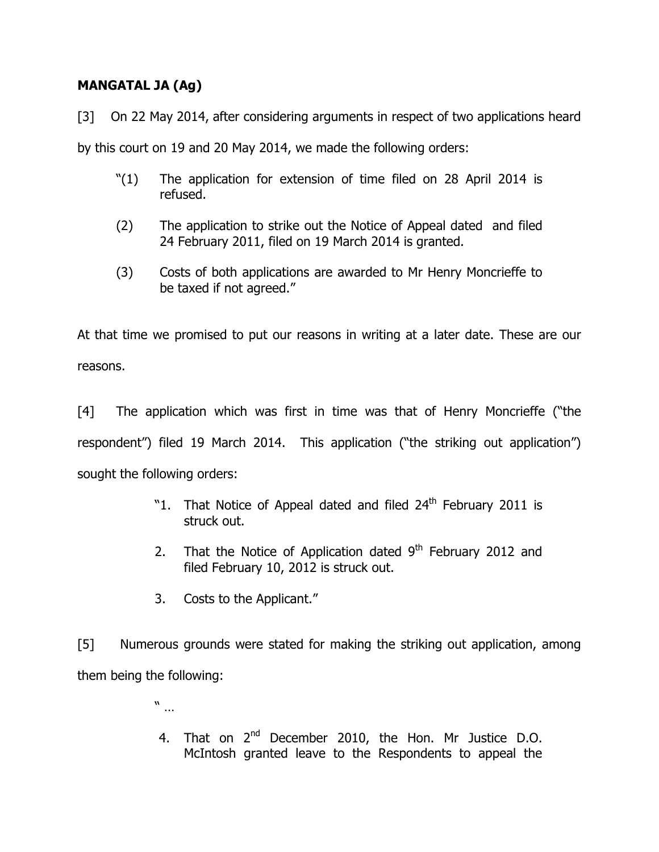# MANGATAL JA (Ag)

[3] On 22 May 2014, after considering arguments in respect of two applications heard by this court on 19 and 20 May 2014, we made the following orders:

- "(1) The application for extension of time filed on 28 April 2014 is refused.
- (2) The application to strike out the Notice of Appeal dated and filed 24 February 2011, filed on 19 March 2014 is granted.
- (3) Costs of both applications are awarded to Mr Henry Moncrieffe to be taxed if not agreed."

At that time we promised to put our reasons in writing at a later date. These are our reasons.

[4] The application which was first in time was that of Henry Moncrieffe ("the respondent") filed 19 March 2014. This application ("the striking out application") sought the following orders:

- "1. That Notice of Appeal dated and filed  $24<sup>th</sup>$  February 2011 is struck out.
- 2. That the Notice of Application dated  $9<sup>th</sup>$  February 2012 and filed February 10, 2012 is struck out.
- 3. Costs to the Applicant."

[5] Numerous grounds were stated for making the striking out application, among them being the following:

- " …
- 4. That on 2<sup>nd</sup> December 2010, the Hon. Mr Justice D.O. McIntosh granted leave to the Respondents to appeal the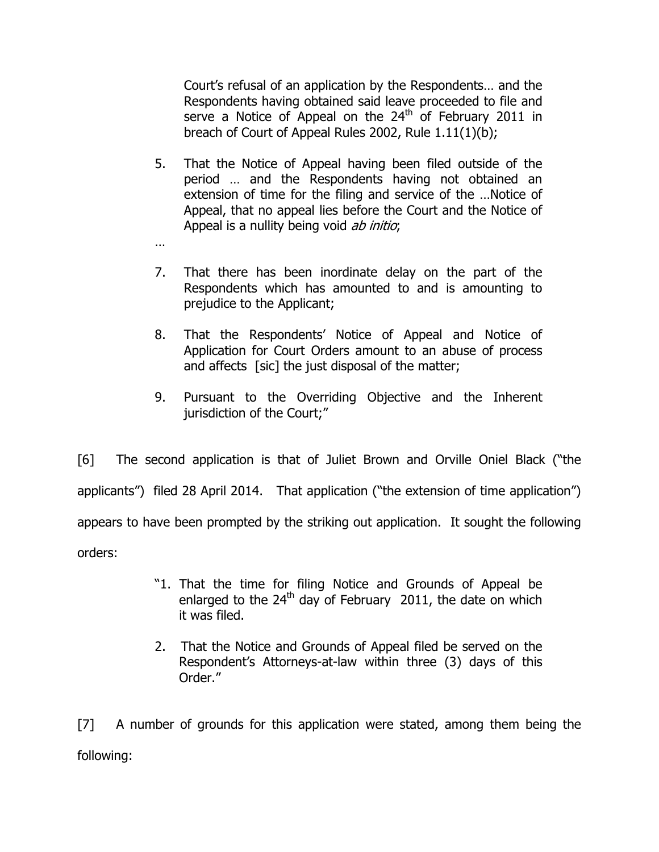Court's refusal of an application by the Respondents… and the Respondents having obtained said leave proceeded to file and serve a Notice of Appeal on the  $24<sup>th</sup>$  of February 2011 in breach of Court of Appeal Rules 2002, Rule 1.11(1)(b);

- 5. That the Notice of Appeal having been filed outside of the period … and the Respondents having not obtained an extension of time for the filing and service of the …Notice of Appeal, that no appeal lies before the Court and the Notice of Appeal is a nullity being void *ab initio*;
- …
- 7. That there has been inordinate delay on the part of the Respondents which has amounted to and is amounting to prejudice to the Applicant;
- 8. That the Respondents' Notice of Appeal and Notice of Application for Court Orders amount to an abuse of process and affects [sic] the just disposal of the matter;
- 9. Pursuant to the Overriding Objective and the Inherent jurisdiction of the Court;"

[6] The second application is that of Juliet Brown and Orville Oniel Black ("the applicants") filed 28 April 2014. That application ("the extension of time application") appears to have been prompted by the striking out application. It sought the following orders:

- "1. That the time for filing Notice and Grounds of Appeal be enlarged to the  $24<sup>th</sup>$  day of February 2011, the date on which it was filed.
- 2. That the Notice and Grounds of Appeal filed be served on the Respondent's Attorneys-at-law within three (3) days of this Order."

[7] A number of grounds for this application were stated, among them being the following: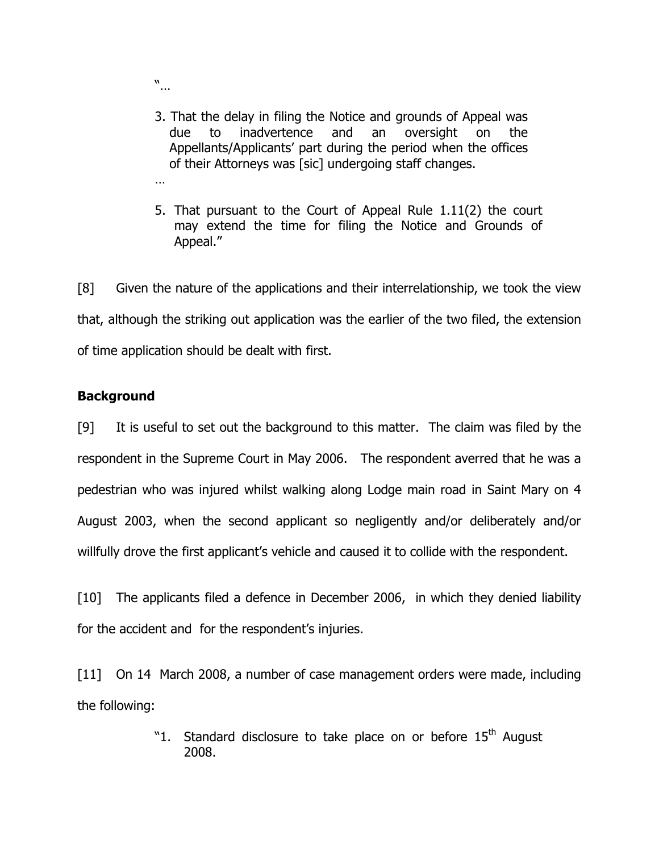- "…
- 3. That the delay in filing the Notice and grounds of Appeal was due to inadvertence and an oversight on the Appellants/Applicants' part during the period when the offices of their Attorneys was [sic] undergoing staff changes.
- …
- 5. That pursuant to the Court of Appeal Rule 1.11(2) the court may extend the time for filing the Notice and Grounds of Appeal."

[8] Given the nature of the applications and their interrelationship, we took the view that, although the striking out application was the earlier of the two filed, the extension of time application should be dealt with first.

# **Background**

[9] It is useful to set out the background to this matter. The claim was filed by the respondent in the Supreme Court in May 2006. The respondent averred that he was a pedestrian who was injured whilst walking along Lodge main road in Saint Mary on 4 August 2003, when the second applicant so negligently and/or deliberately and/or willfully drove the first applicant's vehicle and caused it to collide with the respondent.

[10] The applicants filed a defence in December 2006, in which they denied liability for the accident and for the respondent's injuries.

[11] On 14 March 2008, a number of case management orders were made, including the following:

> "1. Standard disclosure to take place on or before  $15<sup>th</sup>$  August 2008.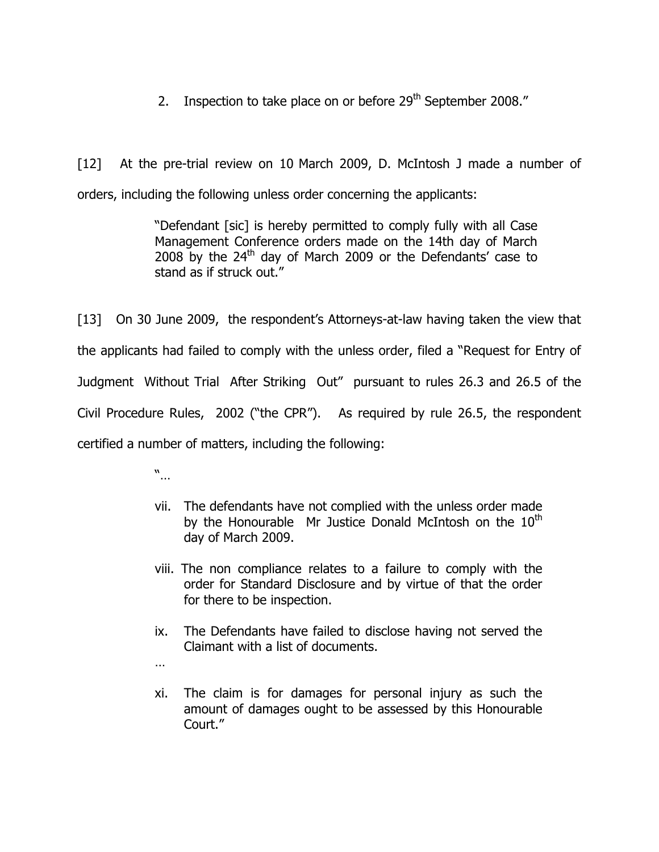2. Inspection to take place on or before  $29<sup>th</sup>$  September 2008."

[12] At the pre-trial review on 10 March 2009, D. McIntosh J made a number of orders, including the following unless order concerning the applicants:

> "Defendant [sic] is hereby permitted to comply fully with all Case Management Conference orders made on the 14th day of March 2008 by the  $24<sup>th</sup>$  day of March 2009 or the Defendants' case to stand as if struck out."

[13] On 30 June 2009, the respondent's Attorneys-at-law having taken the view that the applicants had failed to comply with the unless order, filed a "Request for Entry of Judgment Without Trial After Striking Out" pursuant to rules 26.3 and 26.5 of the Civil Procedure Rules, 2002 ("the CPR"). As required by rule 26.5, the respondent certified a number of matters, including the following:

"…

- vii. The defendants have not complied with the unless order made by the Honourable Mr Justice Donald McIntosh on the  $10<sup>th</sup>$ day of March 2009.
- viii. The non compliance relates to a failure to comply with the order for Standard Disclosure and by virtue of that the order for there to be inspection.
- ix. The Defendants have failed to disclose having not served the Claimant with a list of documents.
- …
- xi. The claim is for damages for personal injury as such the amount of damages ought to be assessed by this Honourable Court."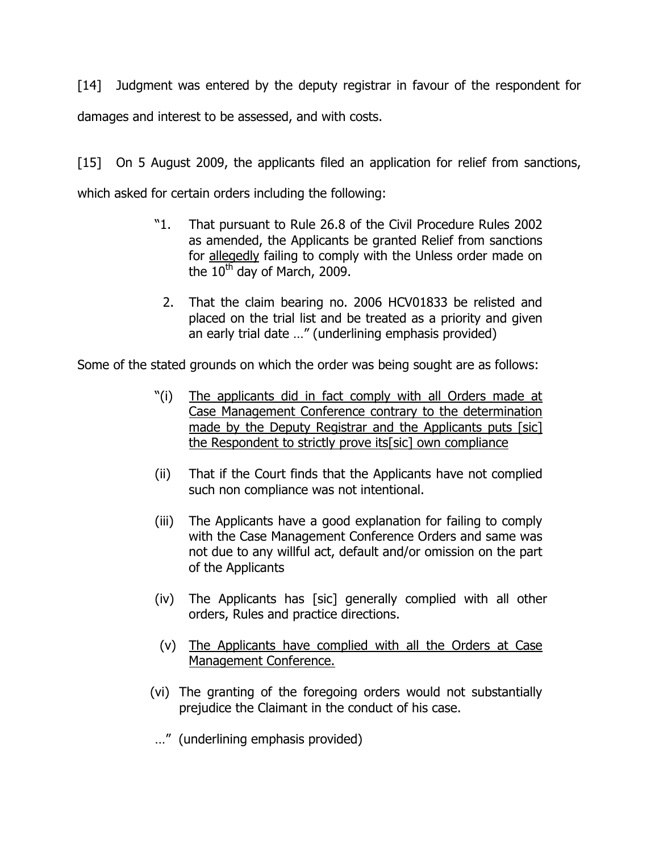[14] Judgment was entered by the deputy registrar in favour of the respondent for damages and interest to be assessed, and with costs.

[15] On 5 August 2009, the applicants filed an application for relief from sanctions, which asked for certain orders including the following:

- "1. That pursuant to Rule 26.8 of the Civil Procedure Rules 2002 as amended, the Applicants be granted Relief from sanctions for allegedly failing to comply with the Unless order made on the  $10^{th}$  day of March, 2009.
	- 2. That the claim bearing no. 2006 HCV01833 be relisted and placed on the trial list and be treated as a priority and given an early trial date …" (underlining emphasis provided)

Some of the stated grounds on which the order was being sought are as follows:

- "(i) The applicants did in fact comply with all Orders made at Case Management Conference contrary to the determination made by the Deputy Registrar and the Applicants puts [sic] the Respondent to strictly prove its[sic] own compliance
- (ii) That if the Court finds that the Applicants have not complied such non compliance was not intentional.
- (iii) The Applicants have a good explanation for failing to comply with the Case Management Conference Orders and same was not due to any willful act, default and/or omission on the part of the Applicants
- (iv) The Applicants has [sic] generally complied with all other orders, Rules and practice directions.
- (v) The Applicants have complied with all the Orders at Case Management Conference.
- (vi) The granting of the foregoing orders would not substantially prejudice the Claimant in the conduct of his case.
- …" (underlining emphasis provided)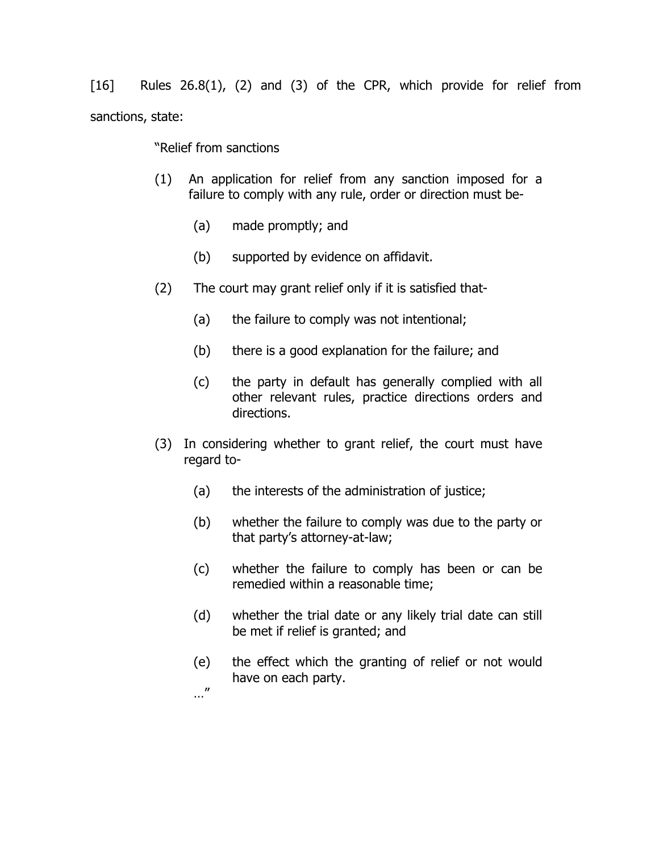[16] Rules 26.8(1), (2) and (3) of the CPR, which provide for relief from sanctions, state:

"Relief from sanctions

- (1) An application for relief from any sanction imposed for a failure to comply with any rule, order or direction must be-
	- (a) made promptly; and
	- (b) supported by evidence on affidavit.
- (2) The court may grant relief only if it is satisfied that-
	- (a) the failure to comply was not intentional;
	- (b) there is a good explanation for the failure; and
	- (c) the party in default has generally complied with all other relevant rules, practice directions orders and directions.
- (3) In considering whether to grant relief, the court must have regard to-
	- (a) the interests of the administration of justice;
	- (b) whether the failure to comply was due to the party or that party's attorney-at-law;
	- (c) whether the failure to comply has been or can be remedied within a reasonable time;
	- (d) whether the trial date or any likely trial date can still be met if relief is granted; and
	- (e) the effect which the granting of relief or not would have on each party.
	- …"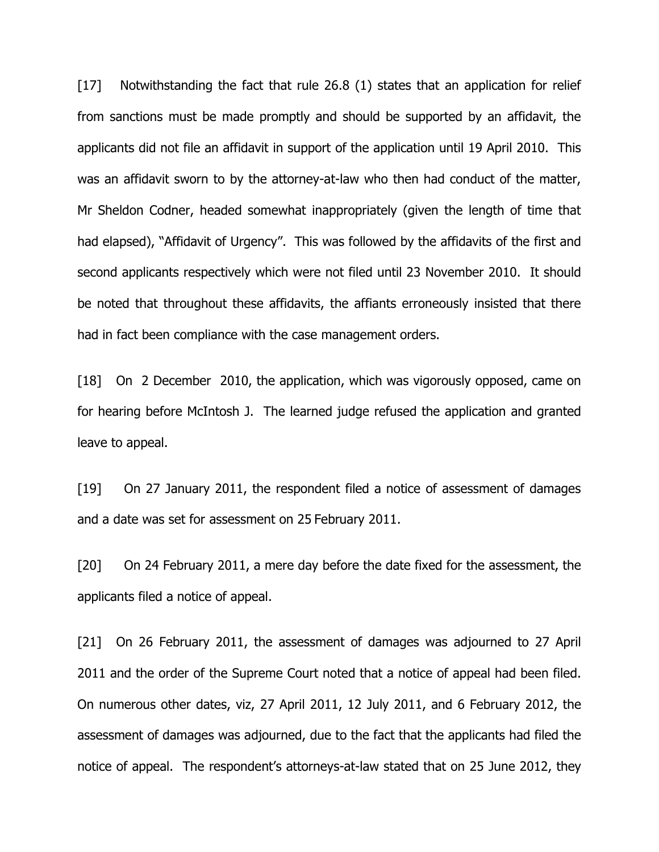[17] Notwithstanding the fact that rule 26.8 (1) states that an application for relief from sanctions must be made promptly and should be supported by an affidavit, the applicants did not file an affidavit in support of the application until 19 April 2010. This was an affidavit sworn to by the attorney-at-law who then had conduct of the matter, Mr Sheldon Codner, headed somewhat inappropriately (given the length of time that had elapsed), "Affidavit of Urgency". This was followed by the affidavits of the first and second applicants respectively which were not filed until 23 November 2010. It should be noted that throughout these affidavits, the affiants erroneously insisted that there had in fact been compliance with the case management orders.

[18] On 2 December 2010, the application, which was vigorously opposed, came on for hearing before McIntosh J. The learned judge refused the application and granted leave to appeal.

[19] On 27 January 2011, the respondent filed a notice of assessment of damages and a date was set for assessment on 25 February 2011.

[20] On 24 February 2011, a mere day before the date fixed for the assessment, the applicants filed a notice of appeal.

[21] On 26 February 2011, the assessment of damages was adjourned to 27 April 2011 and the order of the Supreme Court noted that a notice of appeal had been filed. On numerous other dates, viz, 27 April 2011, 12 July 2011, and 6 February 2012, the assessment of damages was adjourned, due to the fact that the applicants had filed the notice of appeal. The respondent's attorneys-at-law stated that on 25 June 2012, they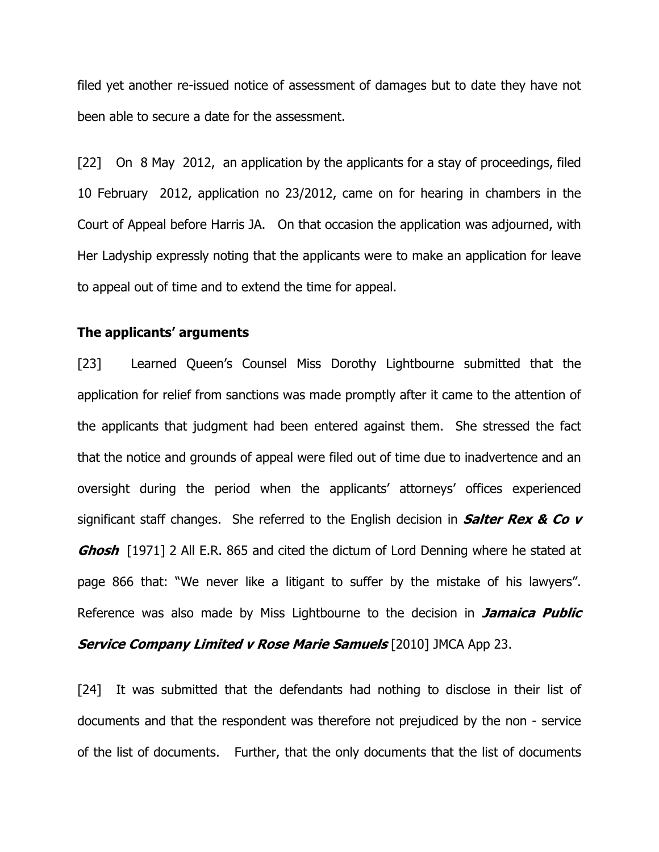filed yet another re-issued notice of assessment of damages but to date they have not been able to secure a date for the assessment.

[22] On 8 May 2012, an application by the applicants for a stay of proceedings, filed 10 February 2012, application no 23/2012, came on for hearing in chambers in the Court of Appeal before Harris JA. On that occasion the application was adjourned, with Her Ladyship expressly noting that the applicants were to make an application for leave to appeal out of time and to extend the time for appeal.

#### The applicants' arguments

[23] Learned Queen's Counsel Miss Dorothy Lightbourne submitted that the application for relief from sanctions was made promptly after it came to the attention of the applicants that judgment had been entered against them. She stressed the fact that the notice and grounds of appeal were filed out of time due to inadvertence and an oversight during the period when the applicants' attorneys' offices experienced significant staff changes. She referred to the English decision in **Salter Rex & Co v Ghosh** [1971] 2 All E.R. 865 and cited the dictum of Lord Denning where he stated at page 866 that: "We never like a litigant to suffer by the mistake of his lawyers". Reference was also made by Miss Lightbourne to the decision in **Jamaica Public** Service Company Limited v Rose Marie Samuels [2010] JMCA App 23.

[24] It was submitted that the defendants had nothing to disclose in their list of documents and that the respondent was therefore not prejudiced by the non - service of the list of documents. Further, that the only documents that the list of documents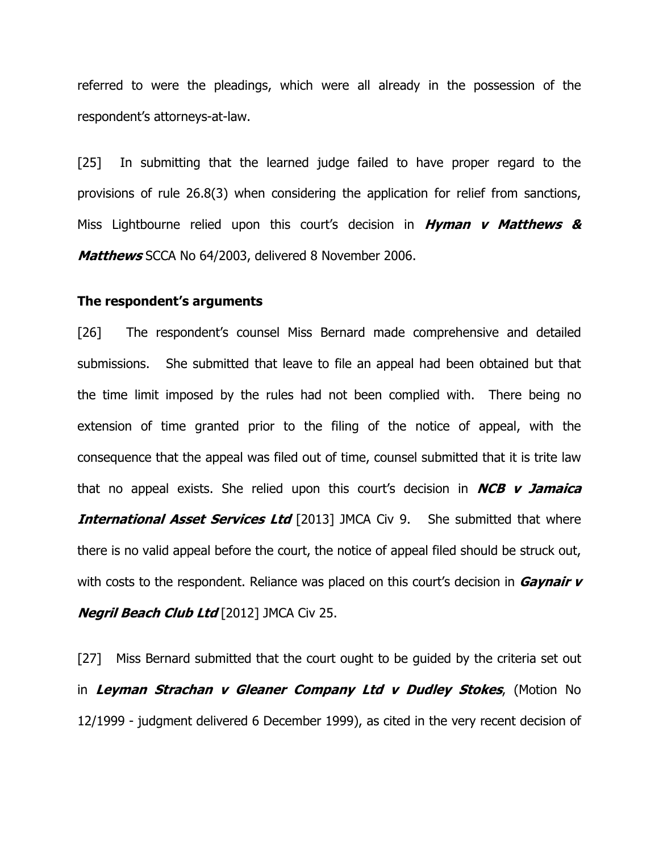referred to were the pleadings, which were all already in the possession of the respondent's attorneys-at-law.

[25] In submitting that the learned judge failed to have proper regard to the provisions of rule 26.8(3) when considering the application for relief from sanctions, Miss Lightbourne relied upon this court's decision in  $Hyman$  v Matthews & Matthews SCCA No 64/2003, delivered 8 November 2006.

#### The respondent's arguments

[26] The respondent's counsel Miss Bernard made comprehensive and detailed submissions. She submitted that leave to file an appeal had been obtained but that the time limit imposed by the rules had not been complied with. There being no extension of time granted prior to the filing of the notice of appeal, with the consequence that the appeal was filed out of time, counsel submitted that it is trite law that no appeal exists. She relied upon this court's decision in  $NCB$  v Jamaica **International Asset Services Ltd** [2013] JMCA Civ 9. She submitted that where there is no valid appeal before the court, the notice of appeal filed should be struck out, with costs to the respondent. Reliance was placed on this court's decision in  $Gaynair$   $\nu$ **Negril Beach Club Ltd** [2012] JMCA Civ 25.

[27] Miss Bernard submitted that the court ought to be guided by the criteria set out in Leyman Strachan v Gleaner Company Ltd v Dudley Stokes, (Motion No 12/1999 - judgment delivered 6 December 1999), as cited in the very recent decision of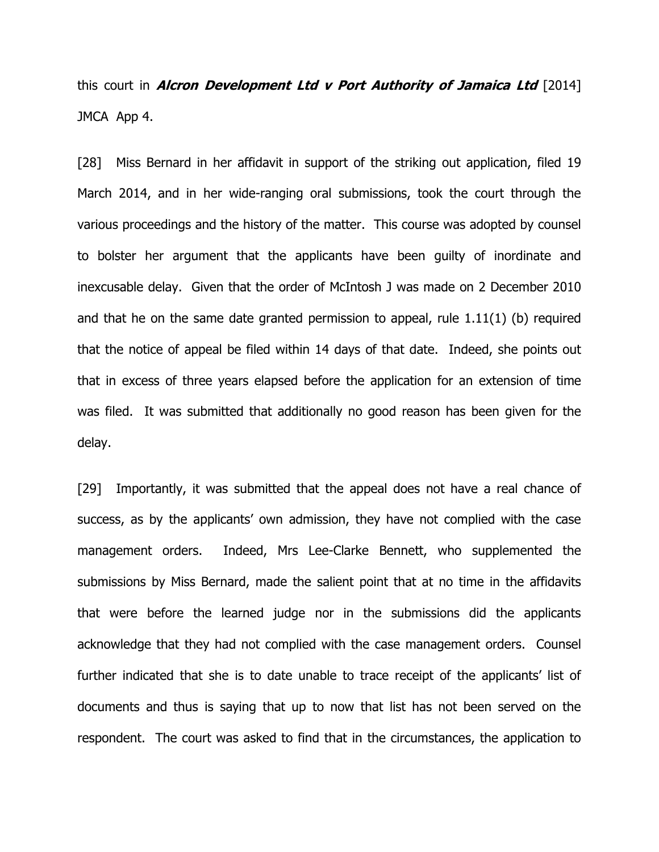this court in *Alcron Development Ltd v Port Authority of Jamaica Ltd*  $[2014]$ JMCA App 4.

[28] Miss Bernard in her affidavit in support of the striking out application, filed 19 March 2014, and in her wide-ranging oral submissions, took the court through the various proceedings and the history of the matter. This course was adopted by counsel to bolster her argument that the applicants have been guilty of inordinate and inexcusable delay. Given that the order of McIntosh J was made on 2 December 2010 and that he on the same date granted permission to appeal, rule 1.11(1) (b) required that the notice of appeal be filed within 14 days of that date. Indeed, she points out that in excess of three years elapsed before the application for an extension of time was filed. It was submitted that additionally no good reason has been given for the delay.

[29] Importantly, it was submitted that the appeal does not have a real chance of success, as by the applicants' own admission, they have not complied with the case management orders. Indeed, Mrs Lee-Clarke Bennett, who supplemented the submissions by Miss Bernard, made the salient point that at no time in the affidavits that were before the learned judge nor in the submissions did the applicants acknowledge that they had not complied with the case management orders. Counsel further indicated that she is to date unable to trace receipt of the applicants' list of documents and thus is saying that up to now that list has not been served on the respondent. The court was asked to find that in the circumstances, the application to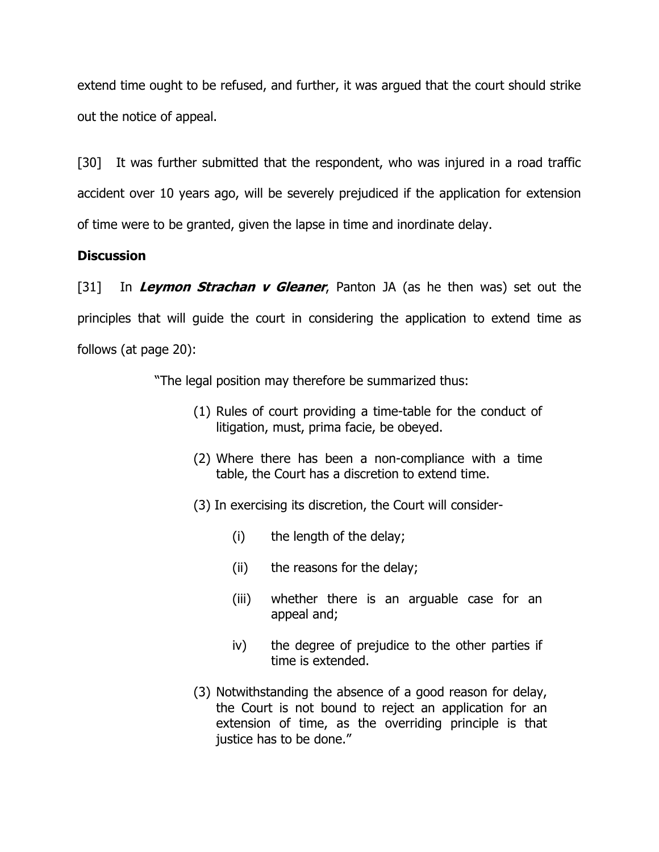extend time ought to be refused, and further, it was argued that the court should strike out the notice of appeal.

[30] It was further submitted that the respondent, who was injured in a road traffic accident over 10 years ago, will be severely prejudiced if the application for extension of time were to be granted, given the lapse in time and inordinate delay.

# **Discussion**

[31] In Leymon Strachan v Gleaner, Panton JA (as he then was) set out the principles that will guide the court in considering the application to extend time as follows (at page 20):

"The legal position may therefore be summarized thus:

- (1) Rules of court providing a time-table for the conduct of litigation, must, prima facie, be obeyed.
- (2) Where there has been a non-compliance with a time table, the Court has a discretion to extend time.
- (3) In exercising its discretion, the Court will consider-
	- (i) the length of the delay;
	- (ii) the reasons for the delay;
	- (iii) whether there is an arguable case for an appeal and;
	- iv) the degree of prejudice to the other parties if time is extended.
- (3) Notwithstanding the absence of a good reason for delay, the Court is not bound to reject an application for an extension of time, as the overriding principle is that justice has to be done."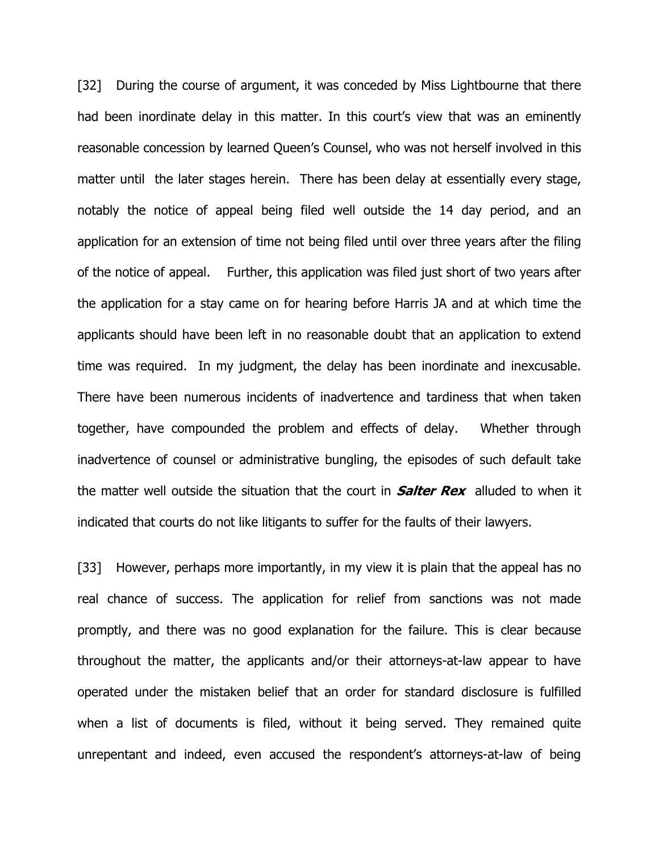[32] During the course of argument, it was conceded by Miss Lightbourne that there had been inordinate delay in this matter. In this court's view that was an eminently reasonable concession by learned Queen's Counsel, who was not herself involved in this matter until the later stages herein. There has been delay at essentially every stage, notably the notice of appeal being filed well outside the 14 day period, and an application for an extension of time not being filed until over three years after the filing of the notice of appeal. Further, this application was filed just short of two years after the application for a stay came on for hearing before Harris JA and at which time the applicants should have been left in no reasonable doubt that an application to extend time was required. In my judgment, the delay has been inordinate and inexcusable. There have been numerous incidents of inadvertence and tardiness that when taken together, have compounded the problem and effects of delay. Whether through inadvertence of counsel or administrative bungling, the episodes of such default take the matter well outside the situation that the court in **Salter Rex** alluded to when it indicated that courts do not like litigants to suffer for the faults of their lawyers.

[33] However, perhaps more importantly, in my view it is plain that the appeal has no real chance of success. The application for relief from sanctions was not made promptly, and there was no good explanation for the failure. This is clear because throughout the matter, the applicants and/or their attorneys-at-law appear to have operated under the mistaken belief that an order for standard disclosure is fulfilled when a list of documents is filed, without it being served. They remained quite unrepentant and indeed, even accused the respondent's attorneys-at-law of being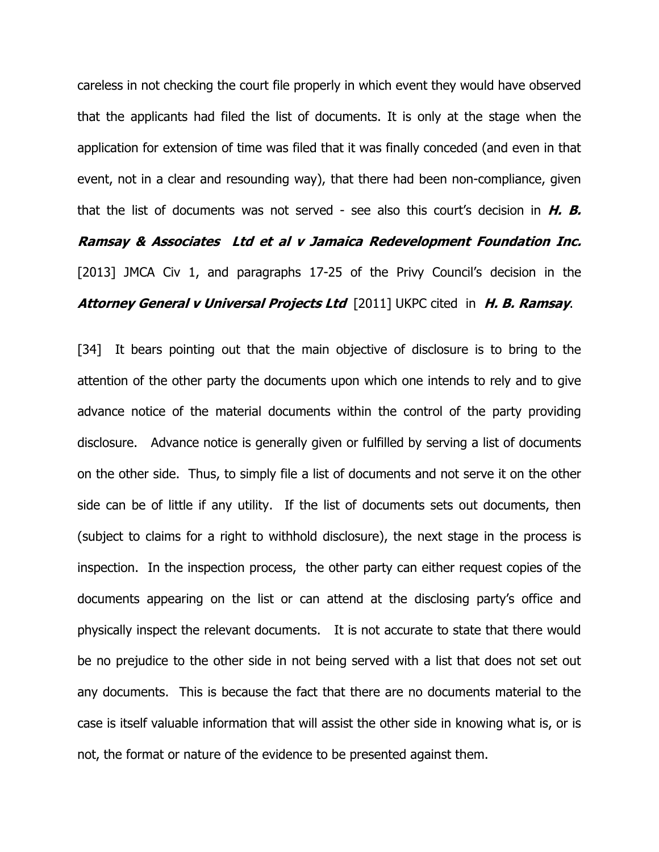careless in not checking the court file properly in which event they would have observed that the applicants had filed the list of documents. It is only at the stage when the application for extension of time was filed that it was finally conceded (and even in that event, not in a clear and resounding way), that there had been non-compliance, given that the list of documents was not served - see also this court's decision in  $H. B.$ Ramsay & Associates Ltd et al v Jamaica Redevelopment Foundation Inc. [2013] JMCA Civ 1, and paragraphs 17-25 of the Privy Council's decision in the Attorney General v Universal Projects Ltd [2011] UKPC cited in H. B. Ramsay.

[34] It bears pointing out that the main objective of disclosure is to bring to the attention of the other party the documents upon which one intends to rely and to give advance notice of the material documents within the control of the party providing disclosure. Advance notice is generally given or fulfilled by serving a list of documents on the other side. Thus, to simply file a list of documents and not serve it on the other side can be of little if any utility. If the list of documents sets out documents, then (subject to claims for a right to withhold disclosure), the next stage in the process is inspection. In the inspection process, the other party can either request copies of the documents appearing on the list or can attend at the disclosing party's office and physically inspect the relevant documents. It is not accurate to state that there would be no prejudice to the other side in not being served with a list that does not set out any documents. This is because the fact that there are no documents material to the case is itself valuable information that will assist the other side in knowing what is, or is not, the format or nature of the evidence to be presented against them.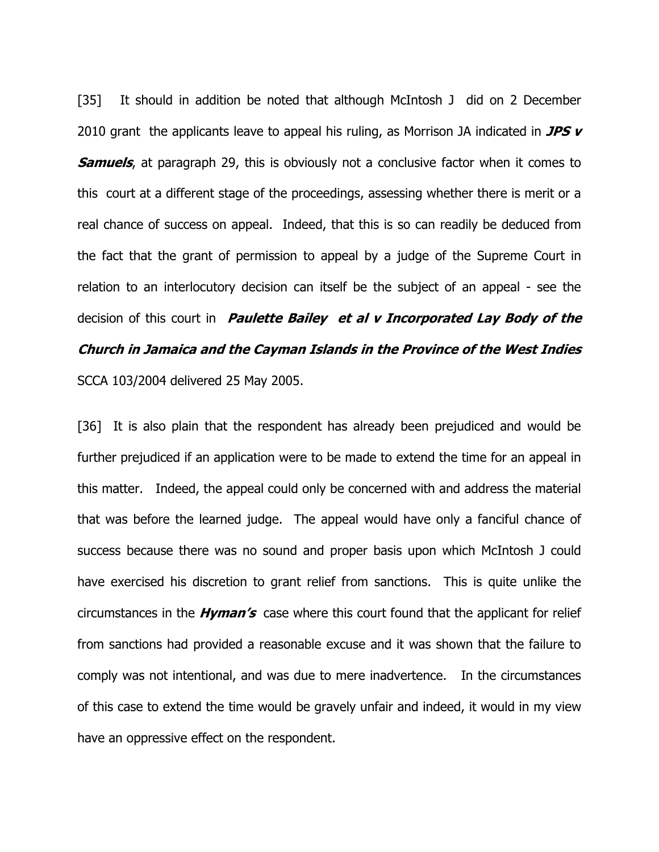[35] It should in addition be noted that although McIntosh J did on 2 December 2010 grant the applicants leave to appeal his ruling, as Morrison JA indicated in  $JPSV$ **Samuels**, at paragraph 29, this is obviously not a conclusive factor when it comes to this court at a different stage of the proceedings, assessing whether there is merit or a real chance of success on appeal. Indeed, that this is so can readily be deduced from the fact that the grant of permission to appeal by a judge of the Supreme Court in relation to an interlocutory decision can itself be the subject of an appeal - see the decision of this court in **Paulette Bailey et al v Incorporated Lay Body of the** Church in Jamaica and the Cayman Islands in the Province of the West Indies SCCA 103/2004 delivered 25 May 2005.

[36] It is also plain that the respondent has already been prejudiced and would be further prejudiced if an application were to be made to extend the time for an appeal in this matter. Indeed, the appeal could only be concerned with and address the material that was before the learned judge. The appeal would have only a fanciful chance of success because there was no sound and proper basis upon which McIntosh J could have exercised his discretion to grant relief from sanctions. This is quite unlike the circumstances in the **Hyman's** case where this court found that the applicant for relief from sanctions had provided a reasonable excuse and it was shown that the failure to comply was not intentional, and was due to mere inadvertence. In the circumstances of this case to extend the time would be gravely unfair and indeed, it would in my view have an oppressive effect on the respondent.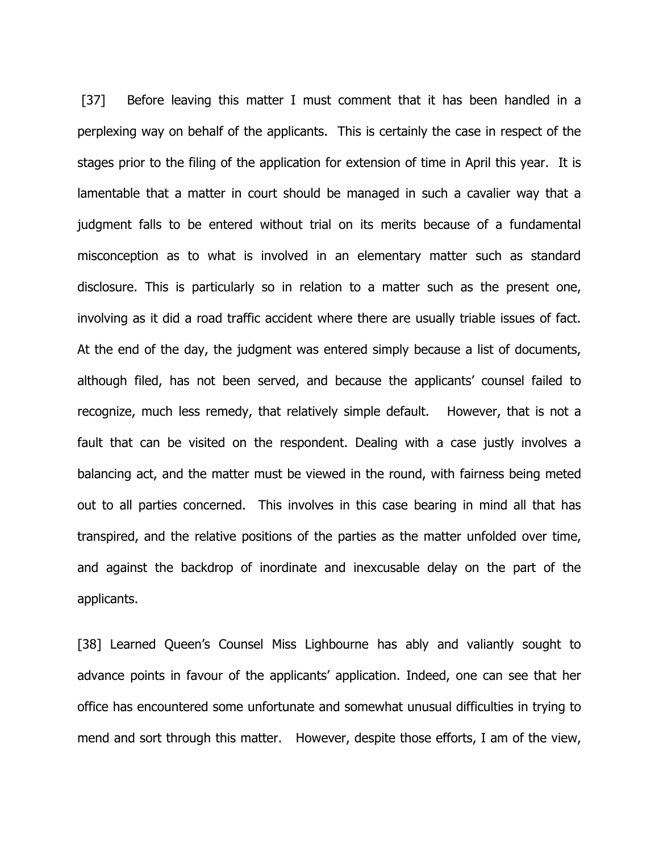[37] Before leaving this matter I must comment that it has been handled in a perplexing way on behalf of the applicants. This is certainly the case in respect of the stages prior to the filing of the application for extension of time in April this year. It is lamentable that a matter in court should be managed in such a cavalier way that a judgment falls to be entered without trial on its merits because of a fundamental misconception as to what is involved in an elementary matter such as standard disclosure. This is particularly so in relation to a matter such as the present one, involving as it did a road traffic accident where there are usually triable issues of fact. At the end of the day, the judgment was entered simply because a list of documents, although filed, has not been served, and because the applicants' counsel failed to recognize, much less remedy, that relatively simple default. However, that is not a fault that can be visited on the respondent. Dealing with a case justly involves a balancing act, and the matter must be viewed in the round, with fairness being meted out to all parties concerned. This involves in this case bearing in mind all that has transpired, and the relative positions of the parties as the matter unfolded over time, and against the backdrop of inordinate and inexcusable delay on the part of the applicants.

[38] Learned Queen's Counsel Miss Lighbourne has ably and valiantly sought to advance points in favour of the applicants' application. Indeed, one can see that her office has encountered some unfortunate and somewhat unusual difficulties in trying to mend and sort through this matter. However, despite those efforts, I am of the view,